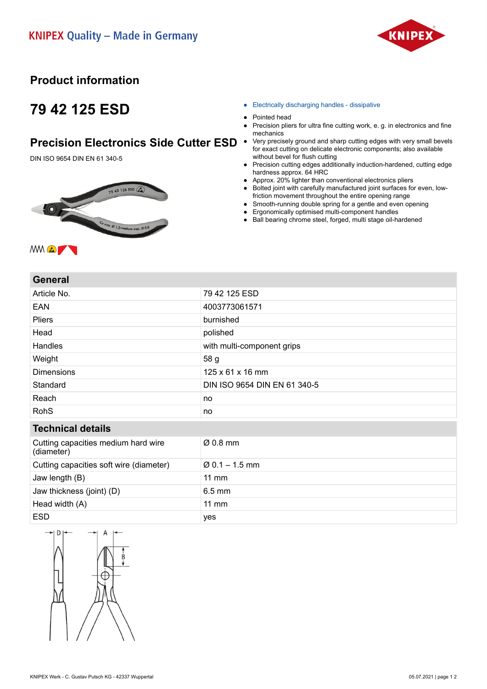

### **Product information**

# **79 42 125 ESD**

#### **Precision Electronics Side Cutter ESD .**

DIN ISO 9654 DIN EN 61 340-5



- Electrically discharging handles dissipative
- Pointed head
- Precision pliers for ultra fine cutting work, e. g. in electronics and fine mechanics
- Very precisely ground and sharp cutting edges with very small bevels for exact cutting on delicate electronic components; also available without bevel for flush cutting
- Precision cutting edges additionally induction-hardened, cutting edge hardness approx. 64 HRC
- Approx. 20% lighter than conventional electronics pliers
- Bolted joint with carefully manufactured joint surfaces for even, lowfriction movement throughout the entire opening range
- Smooth-running double spring for a gentle and even opening
- Ergonomically optimised multi-component handles
- Ball bearing chrome steel, forged, multi stage oil-hardened

#### **General**

| Article No.                                       | 79 42 125 ESD                |
|---------------------------------------------------|------------------------------|
| EAN                                               | 4003773061571                |
| <b>Pliers</b>                                     | burnished                    |
| Head                                              | polished                     |
| Handles                                           | with multi-component grips   |
| Weight                                            | 58 g                         |
| <b>Dimensions</b>                                 | 125 x 61 x 16 mm             |
| Standard                                          | DIN ISO 9654 DIN EN 61 340-5 |
| Reach                                             | no                           |
| <b>RohS</b>                                       | no                           |
| <b>Technical details</b>                          |                              |
| Cutting capacities medium hard wire<br>(diameter) | $Ø$ 0.8 mm                   |
| Cutting capacities soft wire (diameter)           | $\varnothing$ 0.1 – 1.5 mm   |
| Jaw length (B)                                    | $11 \text{ mm}$              |
| Jaw thickness (joint) (D)                         | $6.5$ mm                     |
| Head width (A)                                    | $11$ mm                      |
| <b>ESD</b>                                        | yes                          |